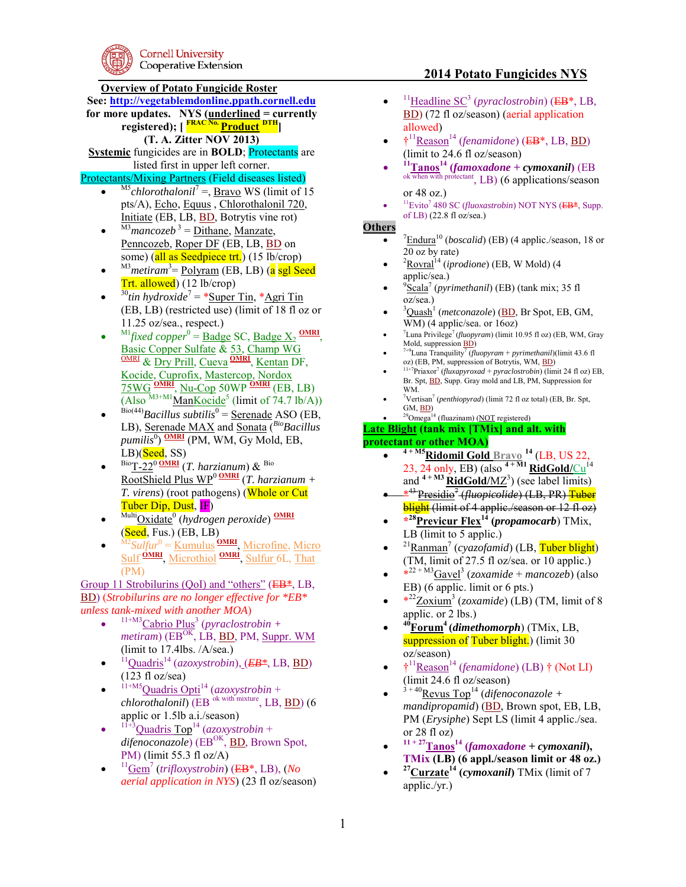**Cornell University** Cooperative Extension

# **Overview of Potato Fungicide Roster**

**See: [http://vegetablemdonline.ppath.cornell.edu](http://vegetablemdonline.ppath.cornell.edu/)**

**for more updates. NYS (underlined = currently registered); [ FRAC No. Product DTH]** 

**(T. A. Zitter NOV 2013)** 

**Systemic** fungicides are in **BOLD**; **Protectants** are listed first in upper left corner.

### Protectants/Mixing Partners (Field diseases listed)

- $\blacksquare$ <sup>M5</sup>*chlorothalonil*<sup>7</sup> =, <u>Bravo</u> WS (limit of 15 pts/A), Echo, Equus , Chlorothalonil 720, Initiate (EB, LB, BD, Botrytis vine rot)
- $\bullet$  $^{M3}$ *mancozeb*<sup>3</sup> = <u>Dithane, Manzate</u>, Penncozeb, Roper DF (EB, LB, BD on some) (all as Seedpiece trt.) (15 lb/crop)
- $\bullet$ <sup>M3</sup>metiram<sup>3</sup>= <u>Polyram</u> (EB, LB) (<mark>a sgl Seed</mark> Trt. allowed) (12 lb/crop)
- $\bullet$ <sup>30</sup>tin hydroxide<sup>7</sup> = \*<u>Super Tin</u>, \*<u>Agri Tin</u> (EB, LB) (restricted use) (limit of 18 fl oz or 11.25 oz/sea., respect.)
- $\bullet$  $^{M1}$ *fixed copper*<sup>0</sup> = <u>Badge</u> SC, <u>Badge X<sub>2</sub> OMRI</u>, Basic Copper Sulfate & 53, Champ WG OMRI & Dry Prill, Cueva **OMRI** , Kentan DF, Kocide, Cuprofix, Mastercop, Nordox 75WG **OMRI** , Nu-Cop 50WP **OMRI** (EB, LB) (Also  $^{M3+M1}$ ManKocide<sup>5</sup> (limit of 74.7 lb/A))
- $\bullet$  $Bio(44)}$ *Bacillus subtilis*<sup>0</sup> = <u>Serenade</u> ASO (EB, LB), Serenade MAX and Sonata (*BioBacillus pumilis*<sup>0</sup> ) **OMRI** (PM, WM, Gy Mold, EB,  $LB$ )( $Seed, SS$ )
- $\bullet$ BioT-22<sup>0</sup>**OMRI** (*T. harzianum*) & Bio  $\frac{\overline{1-\frac{1}{1-\frac{1}{1-\frac{1}{1-\frac{1}{1-\frac{1}{1-\frac{1}{1-\frac{1}{1-\frac{1}{1-\frac{1}{1-\frac{1}{1-\frac{1}{1-\frac{1}{1-\frac{1}{1-\frac{1}{1-\frac{1}{1-\frac{1}{1-\frac{1}{1-\frac{1}{1-\frac{1}{1-\frac{1}{1-\frac{1}{1-\frac{1}{1-\frac{1}{1-\frac{1}{1-\frac{1}{1-\frac{1}{1-\frac{1}{1-\frac{1}{1-\frac{1}{1-\frac{1}{1-\frac{1}{1-\frac{1}{1-\frac{1}{1-\frac{1}{1-\frac{1}{1-\frac{$ *T. virens*) (root pathogens) (Whole or Cut Tuber Dip, Dust, IF)
- $\bullet$ MultiOxidate<sup>0</sup> (*hydrogen peroxide*) **OMRI**  $(Seed, Fus.)$  (EB, LB)
- $\bullet$ <sup>M2</sup>Sulfur<sup>0</sup> = <u>Kumulus</u> **OMRI**, Microfine, Micro Sulf **OMRI** , Microthiol **OMRI** , Sulfur 6L, That (PM)

Group 11 Strobilurins (QoI) and "others" (EB<sup>\*</sup>, LB, BD) (*Strobilurins are no longer effective for \*EB\* unless tank-mixed with another MOA*)

- $\bullet$ <sup>11+M3</sup>Cabrio Plus<sup>3</sup> (*pyraclostrobin* +  $metiram$ ) ( $EB^{OK}$ , LB, BD, PM, Suppr. WM (limit to 17.4lbs. /A/sea.)
- $\bullet$ <sup>11</sup>Quadris<sup>14</sup> (*azoxystrobin*), (*EB\**, LB, BD)  $(123 \text{ fl oz/sea})$
- $\bullet$ 11+M5Quadris Opti<sup>14</sup> (*azoxystrobin* + *chlorothalonil*) (EB ok with mixture, LB, BD) (6 applic or 1.5lb a.i./season)
- $\bullet$  $11+3$ Quadris Top<sup>14</sup> (*azoxystrobin* + difenoconazole) (EB<sup>OK</sup>, **BD**, Brown Spot, PM) (limit 55.3 fl  $oz/A$ )
- $\bullet$ <sup>11</sup>Gem<sup>7</sup> (*trifloxystrobin*) (EB\*, LB), (*No aerial application in NYS*) (23 fl oz/season)

# **2014 Potato Fungicides NYS**

- $\bullet$ <sup>11</sup>Headline SC<sup>3</sup> (*pyraclostrobin*) (EB<sup>\*</sup>, LB, BD) (72 fl oz/season) (aerial application allowed)
- $\bullet$   $\uparrow$ <sup>11</sup> <u>Reason</u><sup>14</sup> (*fenamidone*) (EB<sup>\*</sup>, LB, <u>BD</u>) (limit to 24.6 fl oz/season)
- $\bullet$ **<sup>11</sup>Tanos<sup>14</sup> (***famoxadone* **+** *cymoxanil***)** (EB ok when with protectant, LB) (6 applications/season or 48 oz.)
- $\bullet$ <sup>11</sup>Evito<sup>7</sup> 480 SC (*fluoxastrobin*) NOT NYS (EB<sup>\*</sup>, Supp. of LB) (22.8 fl oz/sea.)

#### **Others**

- $\bullet$  $\frac{7 \text{Endura}^{10}}{2}$  (*boscalid*) (EB) (4 applic./season, 18 or 20 oz by rate)
- $\bullet$ <sup>2</sup>Rovral<sup>14</sup> (*iprodione*) (EB, W Mold) (4 applic/sea.)
- $\bullet$ 9 Scala<sup>7</sup> (*pyrimethanil*) (EB) (tank mix; 35 fl oz/sea.)
- $\bullet$ <sup>3</sup>Quash<sup>1</sup> (*metconazole*) (BD, Br Spot, EB, GM, WM) (4 applic/sea. or 16oz)
- $\bullet$ <sup>7</sup>Luna Privilege<sup>7</sup>(*fluopyram*) (limit 10.95 fl oz) (EB, WM, Gray Mold, suppression **BD**)
- $\bullet$ 7+9Luna Tranquility<sup>7</sup> (*fluopyram* + *pyrimethanil*)(limit 43.6 fl oz) (EB, PM, suppression of Botrytis, WM, BD)
- $\bullet$ <sup>11+7</sup>Priaxor<sup>7</sup> (*fluxapyroxad* + *pyraclostrobin*) (limit 24 fl oz) EB, Br. Spt, **BD**, Supp. Gray mold and LB, PM, Suppression for WM.
- $\bullet$ <sup>7</sup>Vertisan<sup>7</sup> (*penthiopyrad*) (limit 72 fl oz total) (EB, Br. Spt, GM, BD)
- $\bullet$  $^{29}$ Omega<sup>14</sup> (fluazinam) (NOT registered)

# **Late Blight (tank mix [TMix] and alt. with**

### **protectant or other MOA)**

- $\bullet$ **4 + M5Ridomil Gold Bravo <sup>14</sup>** (LB, US 22, 23, 24 only, EB) (also  $4 + \overline{M}$ **RidGold**/Cu<sup>14</sup> and  $4 + M3$  **RidGold/MZ**<sup>3</sup>) (see label limits)
- \* <sup>43</sup>Presidio<sup>7</sup> (*fluopicolide*) (LB, PR) Tuber blight (limit of 4 applic./season or 12 fl oz)
- **\* <sup>28</sup>Previcur Flex<sup>14</sup> (***propamocarb*) TMix, LB (limit to 5 applic.)
- $\bullet$ <sup>21</sup> Ranman<sup>7</sup> (*cyazofamid*) (LB, Tuber blight) (TM, limit of 27.5 fl oz/sea. or 10 applic.)
- \* 22 + M3Gavel<sup>3</sup> (*zoxamide* + *mancozeb*) (also EB) (6 applic. limit or 6 pts.)
- $\bullet \quad$  \*<sup>22</sup><u>Zoxium</u><sup>3</sup> (*zoxamide*) (LB) (TM, limit of 8 applic. or 2 lbs.)
- $\bullet$ **<sup>40</sup>Forum<sup>4</sup>(***dimethomorph*) (TMix, LB, suppression of Tuber blight.) (limit 30 oz/season)
- $\bullet$   $\uparrow$ <sup>11</sup> <u>Reason</u><sup>14</sup> (*fenamidone*) (LB)  $\dagger$  (Not LI) (limit 24.6 fl oz/season)
- $\bullet$  $3 + 40$ Revus Top<sup>14</sup> (*difenoconazole* + *mandipropamid*) (BD, Brown spot, EB, LB, PM (*Erysiphe*) Sept LS (limit 4 applic./sea. or 28 fl oz)
- $\bullet$  $11 + 27$ **Tanos**<sup>14</sup> (*famoxadone* + *cymoxanil*), **TMix (LB) (6 appl./season limit or 48 oz.)**
- $\bullet$ **<sup>27</sup>Curzate<sup>14</sup> (***cymoxanil***)** TMix (limit of 7 applic./yr.)